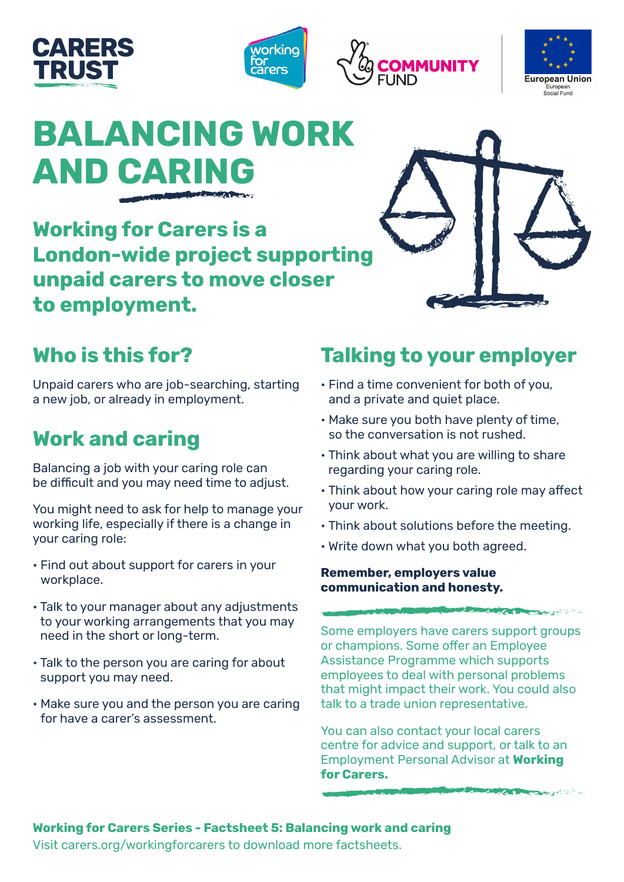







# **BALANCING WORK AND CARING**

**Working for Carers is a London-wide project supporting unpaid carers to move closer to employment.** 

## **Who is this for?**

Unpaid carers who are job-searching, starting a new job, or already in employment.

# **Work and caring**

Balancing a job with your caring role can be difficult and you may need time to adjust.

You might need to ask for help to manage your working life, especially if there is a change in your caring role:

- Find out about support for carers in your workplace.
- Talk to your manager about any adjustments to your working arrangements that you may need in the short or long-term.
- Talk to the person you are caring for about support you may need.
- Make sure you and the person you are caring for have a carer's assessment.

### **Talking to your employer**

- Find a time convenient for both of you, and a private and quiet place.
- Make sure you both have plenty of time, so the conversation is not rushed.
- Think about what you are willing to share regarding your caring role.
- Think about how your caring role may affect your work.
- Think about solutions before the meeting.
- Write down what you both agreed.

### **Remember, employers value communication and honesty.**

Some employers have carers support groups or champions. Some offer an Employee Assistance Programme which supports employees to deal with personal problems that might impact their work. You could also talk to a trade union representative.

**CONTRACT AND ACTION AND ACTION** 

**ANTICOLOGICA** 

You can also contact your local carers centre for advice and support, or talk to an Employment Personal Advisor at **Working for Carers.**

### **Working for Carers Series - Factsheet 5: Balancing work and caring**

Visit carers.org/workingforcarers to download more factsheets.